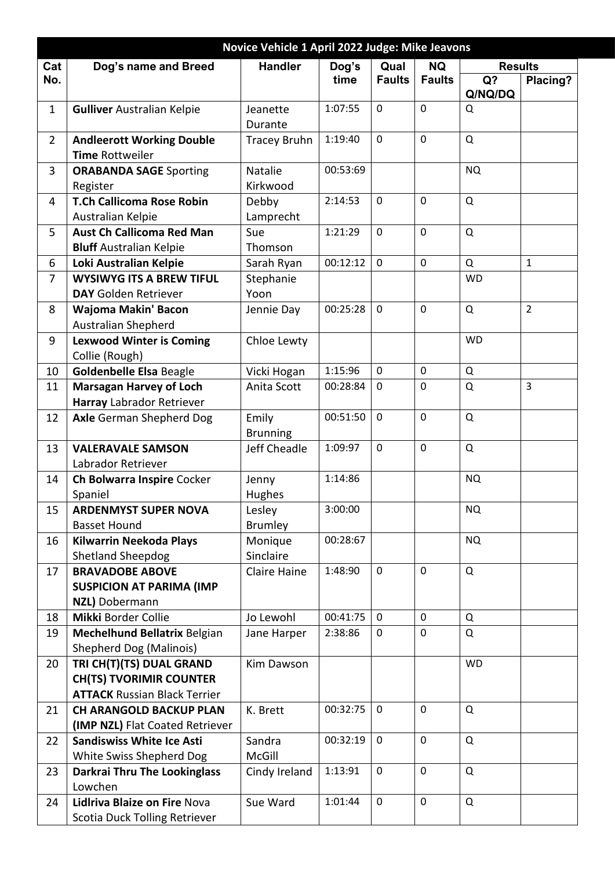|                | Novice Vehicle 1 April 2022 Judge: Mike Jeavons                                                   |                            |          |               |               |                           |                 |  |  |  |
|----------------|---------------------------------------------------------------------------------------------------|----------------------------|----------|---------------|---------------|---------------------------|-----------------|--|--|--|
| Cat            | Dog's name and Breed                                                                              | <b>Handler</b>             | Dog's    | Qual          | <b>NQ</b>     | <b>Results</b>            |                 |  |  |  |
| No.            |                                                                                                   |                            | time     | <b>Faults</b> | <b>Faults</b> | Q <sub>2</sub><br>Q/NQ/DQ | <b>Placing?</b> |  |  |  |
| $\mathbf{1}$   | <b>Gulliver Australian Kelpie</b>                                                                 | Jeanette<br>Durante        | 1:07:55  | 0             | $\mathbf 0$   | Q                         |                 |  |  |  |
| $\overline{2}$ | <b>Andleerott Working Double</b><br><b>Time Rottweiler</b>                                        | <b>Tracey Bruhn</b>        | 1:19:40  | 0             | 0             | Q                         |                 |  |  |  |
| 3              | <b>ORABANDA SAGE Sporting</b><br>Register                                                         | <b>Natalie</b><br>Kirkwood | 00:53:69 |               |               | <b>NQ</b>                 |                 |  |  |  |
| 4              | T.Ch Callicoma Rose Robin<br>Australian Kelpie                                                    | Debby<br>Lamprecht         | 2:14:53  | 0             | $\mathbf 0$   | Q                         |                 |  |  |  |
| 5              | <b>Aust Ch Callicoma Red Man</b><br><b>Bluff</b> Australian Kelpie                                | Sue<br>Thomson             | 1:21:29  | 0             | 0             | Q                         |                 |  |  |  |
| 6              | Loki Australian Kelpie                                                                            | Sarah Ryan                 | 00:12:12 | $\mathbf 0$   | $\mathbf 0$   | Q                         | $\mathbf{1}$    |  |  |  |
| $\overline{7}$ | <b>WYSIWYG ITS A BREW TIFUL</b>                                                                   | Stephanie                  |          |               |               | <b>WD</b>                 |                 |  |  |  |
|                | <b>DAY</b> Golden Retriever                                                                       | Yoon                       |          |               |               |                           |                 |  |  |  |
| 8              | Wajoma Makin' Bacon<br><b>Australian Shepherd</b>                                                 | Jennie Day                 | 00:25:28 | $\mathbf 0$   | $\mathbf 0$   | Q                         | $\overline{2}$  |  |  |  |
| 9              | <b>Lexwood Winter is Coming</b><br>Collie (Rough)                                                 | Chloe Lewty                |          |               |               | <b>WD</b>                 |                 |  |  |  |
| 10             | <b>Goldenbelle Elsa Beagle</b>                                                                    | Vicki Hogan                | 1:15:96  | 0             | $\mathbf 0$   | Q                         |                 |  |  |  |
| 11             | <b>Marsagan Harvey of Loch</b>                                                                    | Anita Scott                | 00:28:84 | 0             | $\mathbf 0$   | $\Omega$                  | 3               |  |  |  |
|                | Harray Labrador Retriever                                                                         |                            |          |               |               |                           |                 |  |  |  |
| 12             | <b>Axle German Shepherd Dog</b>                                                                   | Emily<br><b>Brunning</b>   | 00:51:50 | $\mathbf 0$   | $\mathbf 0$   | $\Omega$                  |                 |  |  |  |
| 13             | <b>VALERAVALE SAMSON</b>                                                                          | Jeff Cheadle               | 1:09:97  | $\mathbf 0$   | $\mathbf 0$   | Q                         |                 |  |  |  |
|                | Labrador Retriever                                                                                |                            |          |               |               |                           |                 |  |  |  |
| 14             | Ch Bolwarra Inspire Cocker<br>Spaniel                                                             | Jenny<br>Hughes            | 1:14:86  |               |               | <b>NQ</b>                 |                 |  |  |  |
| 15             | <b>ARDENMYST SUPER NOVA</b><br><b>Basset Hound</b>                                                | Lesley<br><b>Brumley</b>   | 3:00:00  |               |               | <b>NQ</b>                 |                 |  |  |  |
| 16             | Kilwarrin Neekoda Plays<br>Shetland Sheepdog                                                      | Monique<br>Sinclaire       | 00:28:67 |               |               | <b>NQ</b>                 |                 |  |  |  |
| 17             | <b>BRAVADOBE ABOVE</b><br><b>SUSPICION AT PARIMA (IMP</b><br>NZL) Dobermann                       | <b>Claire Haine</b>        | 1:48:90  | $\mathbf 0$   | $\mathbf 0$   | Q                         |                 |  |  |  |
| 18             | Mikki Border Collie                                                                               | Jo Lewohl                  | 00:41:75 | 0             | 0             | Q                         |                 |  |  |  |
| 19             | <b>Mechelhund Bellatrix Belgian</b><br>Shepherd Dog (Malinois)                                    | Jane Harper                | 2:38:86  | 0             | $\mathbf 0$   | Q                         |                 |  |  |  |
| 20             | TRI CH(T)(TS) DUAL GRAND<br><b>CH(TS) TVORIMIR COUNTER</b><br><b>ATTACK Russian Black Terrier</b> | Kim Dawson                 |          |               |               | <b>WD</b>                 |                 |  |  |  |
| 21             | <b>CH ARANGOLD BACKUP PLAN</b><br>(IMP NZL) Flat Coated Retriever                                 | K. Brett                   | 00:32:75 | 0             | $\mathbf 0$   | Q                         |                 |  |  |  |
| 22             | <b>Sandiswiss White Ice Asti</b><br>White Swiss Shepherd Dog                                      | Sandra<br>McGill           | 00:32:19 | 0             | $\mathbf 0$   | Q                         |                 |  |  |  |
| 23             | <b>Darkrai Thru The Lookinglass</b><br>Lowchen                                                    | Cindy Ireland              | 1:13:91  | 0             | $\mathbf 0$   | Q                         |                 |  |  |  |
| 24             | Lidlriva Blaize on Fire Nova                                                                      | Sue Ward                   | 1:01:44  | 0             | $\mathbf 0$   | Q                         |                 |  |  |  |
|                | Scotia Duck Tolling Retriever                                                                     |                            |          |               |               |                           |                 |  |  |  |